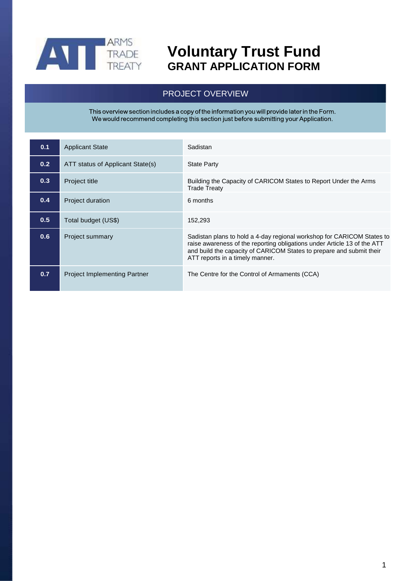

## **Voluntary Trust Fund GRANT APPLICATION FORM**

### PROJECT OVERVIEW

This overview section includes a copy of the information you will provide later in the Form.<br>We would recommend completing this section just before submitting your Application.

| 0.1 | <b>Applicant State</b>              | Sadistan                                                                                                                                                                                                                                                      |
|-----|-------------------------------------|---------------------------------------------------------------------------------------------------------------------------------------------------------------------------------------------------------------------------------------------------------------|
| 0.2 | ATT status of Applicant State(s)    | <b>State Party</b>                                                                                                                                                                                                                                            |
| 0.3 | <b>Project title</b>                | Building the Capacity of CARICOM States to Report Under the Arms<br><b>Trade Treaty</b>                                                                                                                                                                       |
| 0.4 | <b>Project duration</b>             | 6 months                                                                                                                                                                                                                                                      |
| 0.5 | Total budget (US\$)                 | 152,293                                                                                                                                                                                                                                                       |
| 0.6 | Project summary                     | Sadistan plans to hold a 4-day regional workshop for CARICOM States to<br>raise awareness of the reporting obligations under Article 13 of the ATT<br>and build the capacity of CARICOM States to prepare and submit their<br>ATT reports in a timely manner. |
| 0.7 | <b>Project Implementing Partner</b> | The Centre for the Control of Armaments (CCA)                                                                                                                                                                                                                 |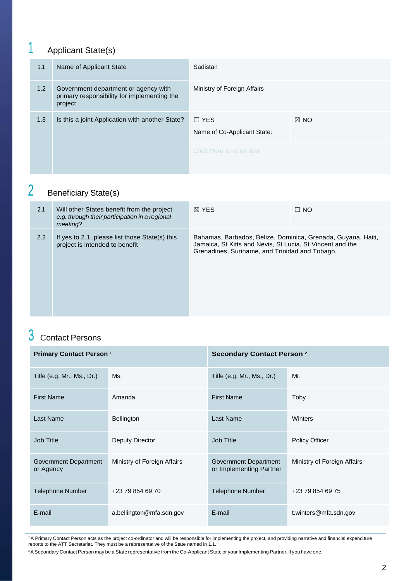# 1 Applicant State(s)

| 1.1 | Name of Applicant State                                                                        | Sadistan                                  |                |
|-----|------------------------------------------------------------------------------------------------|-------------------------------------------|----------------|
| 1.2 | Government department or agency with<br>primary responsibility for implementing the<br>project | Ministry of Foreign Affairs               |                |
| 1.3 | Is this a joint Application with another State?                                                | $\Box$ YES<br>Name of Co-Applicant State: | $\boxtimes$ NO |
|     |                                                                                                | Click Here to enter text                  |                |

## 2 Beneficiary State(s)

| 2.1 | Will other States benefit from the project<br>e.g. through their participation in a regional<br>meeting? | $\boxtimes$ YFS                                                                                                                                                             | $\Box$ NO |
|-----|----------------------------------------------------------------------------------------------------------|-----------------------------------------------------------------------------------------------------------------------------------------------------------------------------|-----------|
| 2.2 | If yes to 2.1, please list those State(s) this<br>project is intended to benefit                         | Bahamas, Barbados, Belize, Dominica, Grenada, Guyana, Haiti,<br>Jamaica, St Kitts and Nevis, St Lucia, St Vincent and the<br>Grenadines, Suriname, and Trinidad and Tobago. |           |

## 3 Contact Persons

| <b>Primary Contact Person 1</b>    |                             | <b>Secondary Contact Person 2</b>                |                             |
|------------------------------------|-----------------------------|--------------------------------------------------|-----------------------------|
| Title (e.g. Mr., Ms., Dr.)         | Ms.                         | Title (e.g. Mr., Ms., Dr.)                       | Mr.                         |
| <b>First Name</b>                  | Amanda                      | <b>First Name</b>                                | Toby                        |
| Last Name                          | Bellington                  | <b>Last Name</b>                                 | Winters                     |
| Job Title                          | Deputy Director             | Job Title                                        | Policy Officer              |
| Government Department<br>or Agency | Ministry of Foreign Affairs | Government Department<br>or Implementing Partner | Ministry of Foreign Affairs |
| <b>Telephone Number</b>            | +23 79 854 69 70            | <b>Telephone Number</b>                          | +23 79 854 69 75            |
| E-mail                             | a.bellington@mfa.sdn.gov    | E-mail                                           | t.winters@mfa.sdn.gov       |

<sup>1</sup>A Primary Contact Person acts as the project co-ordinator and will be responsible for implementing the project, and providing narrative and financial expenditure reports to the ATT Secretariat. They must be a representative of the State named in 1.1.

<sup>2</sup>A Secondary Contact Person may be a State representative from the Co-Applicant State or your Implementing Partner, if you have one.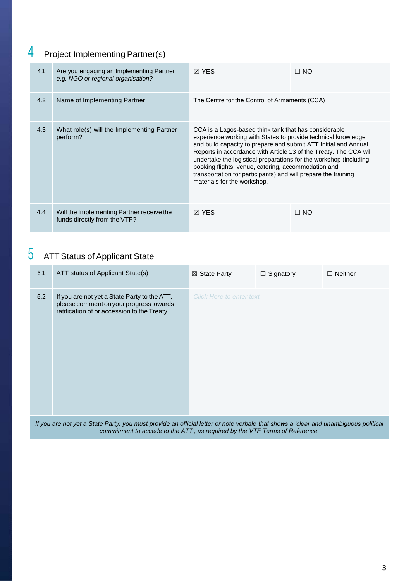## 4 Project Implementing Partner(s)

| 4.1 | Are you engaging an Implementing Partner<br>e.g. NGO or regional organisation? | $\boxtimes$ YES                                                                                                                                                                                                                                                                                                                                                                                                                                                                             | $\Box$ NO |
|-----|--------------------------------------------------------------------------------|---------------------------------------------------------------------------------------------------------------------------------------------------------------------------------------------------------------------------------------------------------------------------------------------------------------------------------------------------------------------------------------------------------------------------------------------------------------------------------------------|-----------|
| 4.2 | Name of Implementing Partner                                                   | The Centre for the Control of Armaments (CCA)                                                                                                                                                                                                                                                                                                                                                                                                                                               |           |
| 4.3 | What role(s) will the Implementing Partner<br>perform?                         | CCA is a Lagos-based think tank that has considerable<br>experience working with States to provide technical knowledge<br>and build capacity to prepare and submit ATT Initial and Annual<br>Reports in accordance with Article 13 of the Treaty. The CCA will<br>undertake the logistical preparations for the workshop (including<br>booking flights, venue, catering, accommodation and<br>transportation for participants) and will prepare the training<br>materials for the workshop. |           |
| 4.4 | Will the Implementing Partner receive the<br>funds directly from the VTF?      | $\boxtimes$ YES                                                                                                                                                                                                                                                                                                                                                                                                                                                                             | $\Box$ NO |

## 5 ATT Status of Applicant State

| 5.1                                                                                                                                | ATT status of Applicant State(s)                                                                                                      | $\boxtimes$ State Party         | $\Box$ Signatory | $\Box$ Neither |
|------------------------------------------------------------------------------------------------------------------------------------|---------------------------------------------------------------------------------------------------------------------------------------|---------------------------------|------------------|----------------|
| 5.2                                                                                                                                | If you are not yet a State Party to the ATT,<br>please comment on your progress towards<br>ratification of or accession to the Treaty | <b>Click Here to enter text</b> |                  |                |
| If you are not yet a State Darty you must provide an efficial letter ar note yerhole that oboys a 'cloor and unambiguous nolitical |                                                                                                                                       |                                 |                  |                |

*If you are not yet a State Party, you must provide an official letter or note verbale that shows a 'clear and unambiguous political commitment to accede to the ATT', as required by the VTF Terms of Reference.*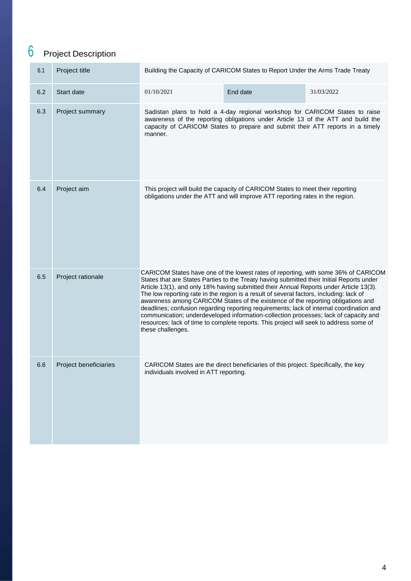# 6 Project Description

| 6.1 | Project title         | Building the Capacity of CARICOM States to Report Under the Arms Trade Treaty                                                                                                                                                                                                                                                                                                                                                                                                                                                                                                                                                                                                                                                                               |                                                                                                                                                                 |            |  |
|-----|-----------------------|-------------------------------------------------------------------------------------------------------------------------------------------------------------------------------------------------------------------------------------------------------------------------------------------------------------------------------------------------------------------------------------------------------------------------------------------------------------------------------------------------------------------------------------------------------------------------------------------------------------------------------------------------------------------------------------------------------------------------------------------------------------|-----------------------------------------------------------------------------------------------------------------------------------------------------------------|------------|--|
| 6.2 | Start date            | 01/10/2021                                                                                                                                                                                                                                                                                                                                                                                                                                                                                                                                                                                                                                                                                                                                                  | End date                                                                                                                                                        | 31/03/2022 |  |
| 6.3 | Project summary       | Sadistan plans to hold a 4-day regional workshop for CARICOM States to raise<br>awareness of the reporting obligations under Article 13 of the ATT and build the<br>capacity of CARICOM States to prepare and submit their ATT reports in a timely<br>manner.                                                                                                                                                                                                                                                                                                                                                                                                                                                                                               |                                                                                                                                                                 |            |  |
| 6.4 | Project aim           |                                                                                                                                                                                                                                                                                                                                                                                                                                                                                                                                                                                                                                                                                                                                                             | This project will build the capacity of CARICOM States to meet their reporting<br>obligations under the ATT and will improve ATT reporting rates in the region. |            |  |
| 6.5 | Project rationale     | CARICOM States have one of the lowest rates of reporting, with some 36% of CARICOM<br>States that are States Parties to the Treaty having submitted their Initial Reports under<br>Article 13(1), and only 18% having submitted their Annual Reports under Article 13(3).<br>The low reporting rate in the region is a result of several factors, including: lack of<br>awareness among CARICOM States of the existence of the reporting obligations and<br>deadlines; confusion regarding reporting requirements; lack of internal coordination and<br>communication; underdeveloped information-collection processes; lack of capacity and<br>resources; lack of time to complete reports. This project will seek to address some of<br>these challenges. |                                                                                                                                                                 |            |  |
| 6.6 | Project beneficiaries | individuals involved in ATT reporting.                                                                                                                                                                                                                                                                                                                                                                                                                                                                                                                                                                                                                                                                                                                      | CARICOM States are the direct beneficiaries of this project. Specifically, the key                                                                              |            |  |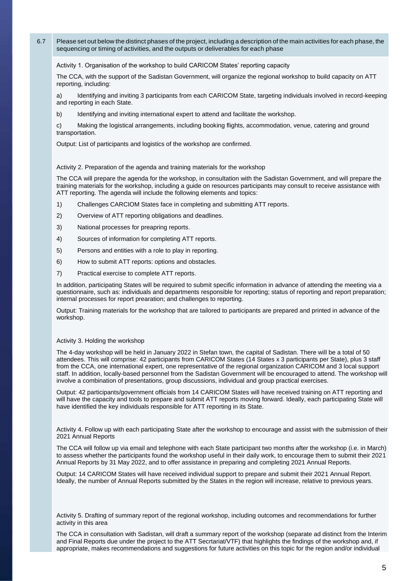6.7 Please set out below the distinct phases of the project, including a description of the main activities for each phase, the sequencing or timing of activities, and the outputs or deliverables for each phase

#### Activity 1. Organisation of the workshop to build CARICOM States' reporting capacity

The CCA, with the support of the Sadistan Government, will organize the regional workshop to build capacity on ATT reporting, including:

a) Identifying and inviting 3 participants from each CARICOM State, targeting individuals involved in record-keeping and reporting in each State.

b) Identifying and inviting international expert to attend and facilitate the workshop.

c) Making the logistical arrangements, including booking flights, accommodation, venue, catering and ground transportation.

Output: List of participants and logistics of the workshop are confirmed.

Activity 2. Preparation of the agenda and training materials for the workshop

The CCA will prepare the agenda for the workshop, in consultation with the Sadistan Government, and will prepare the training materials for the workshop, including a guide on resources participants may consult to receive assistance with ATT reporting. The agenda will include the following elements and topics:

- 1) Challenges CARCIOM States face in completing and submitting ATT reports.
- 2) Overview of ATT reporting obligations and deadlines.
- 3) National processes for preapring reports.
- 4) Sources of information for completing ATT reports.
- 5) Persons and entities with a role to play in reporting.
- 6) How to submit ATT reports: options and obstacles.
- 7) Practical exercise to complete ATT reports.

In addition, participating States will be required to submit specific information in advance of attending the meeting via a questionnaire, such as: individuals and departments responsible for reporting; status of reporting and report preparation; internal processes for report prearation; and challenges to reporting.

Output: Training materials for the workshop that are tailored to participants are prepared and printed in advance of the workshop.

#### Activity 3. Holding the workshop

The 4-day workshop will be held in January 2022 in Stefan town, the capital of Sadistan. There will be a total of 50 attendees. This will comprise: 42 participants from CARICOM States (14 States x 3 participants per State), plus 3 staff from the CCA, one international expert, one representative of the regional organization CARICOM and 3 local support staff. In addition, locally-based personnel from the Sadistan Government will be encouraged to attend. The workshop will involve a combination of presentations, group discussions, individual and group practical exercises.

Output: 42 participants/government officials from 14 CARICOM States will have received training on ATT reporting and will have the capacity and tools to prepare and submit ATT reports moving forward. Ideally, each participating State will have identified the key individuals responsible for ATT reporting in its State.

Activity 4. Follow up with each participating State after the workshop to encourage and assist with the submission of their 2021 Annual Reports

The CCA will follow up via email and telephone with each State participant two months after the workshop (i.e. in March) to assess whether the participants found the workshop useful in their daily work, to encourage them to submit their 2021 Annual Reports by 31 May 2022, and to offer assistance in preparing and completing 2021 Annual Reports.

Output: 14 CARICOM States will have received individual support to prepare and submit their 2021 Annual Report. Ideally, the number of Annual Reports submitted by the States in the region will increase, relative to previous years.

Activity 5. Drafting of summary report of the regional workshop, including outcomes and recommendations for further activity in this area

The CCA in consultation with Sadistan, will draft a summary report of the workshop (separate ad distinct from the Interim and Final Reports due under the project to the ATT Secrtariat/VTF) that highlights the findings of the workshop and, if appropriate, makes recommendations and suggestions for future activities on this topic for the region and/or individual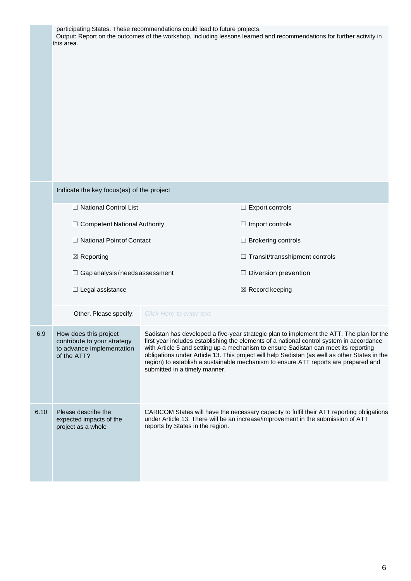|      | participating States. These recommendations could lead to future projects.<br>Output: Report on the outcomes of the workshop, including lessons learned and recommendations for further activity in<br>this area.                      |                                                                                                                                                                                                                                                                                                                                                                                                                                                                                                      |                                                                                                                                                                                     |  |
|------|----------------------------------------------------------------------------------------------------------------------------------------------------------------------------------------------------------------------------------------|------------------------------------------------------------------------------------------------------------------------------------------------------------------------------------------------------------------------------------------------------------------------------------------------------------------------------------------------------------------------------------------------------------------------------------------------------------------------------------------------------|-------------------------------------------------------------------------------------------------------------------------------------------------------------------------------------|--|
|      | Indicate the key focus(es) of the project<br>□ National Control List<br>$\Box$ Competent National Authority<br>□ National Point of Contact<br>$\boxtimes$ Reporting<br>$\Box$ Gap analysis/needs assessment<br>$\Box$ Legal assistance | Other. Please specify: Click Here to enter text                                                                                                                                                                                                                                                                                                                                                                                                                                                      | $\Box$ Export controls<br>$\Box$ Import controls<br>$\Box$ Brokering controls<br>$\Box$ Transit/transshipment controls<br>$\Box$ Diversion prevention<br>$\boxtimes$ Record keeping |  |
| 6.9  | How does this project<br>contribute to your strategy<br>to advance implementation<br>of the ATT?                                                                                                                                       | Sadistan has developed a five-year strategic plan to implement the ATT. The plan for the<br>first year includes establishing the elements of a national control system in accordance<br>with Article 5 and setting up a mechanism to ensure Sadistan can meet its reporting<br>obligations under Article 13. This project will help Sadistan (as well as other States in the<br>region) to establish a sustainable mechanism to ensure ATT reports are prepared and<br>submitted in a timely manner. |                                                                                                                                                                                     |  |
| 6.10 | Please describe the<br>expected impacts of the<br>project as a whole                                                                                                                                                                   | reports by States in the region.                                                                                                                                                                                                                                                                                                                                                                                                                                                                     | CARICOM States will have the necessary capacity to fulfil their ATT reporting obligations<br>under Article 13. There will be an increase/improvement in the submission of ATT       |  |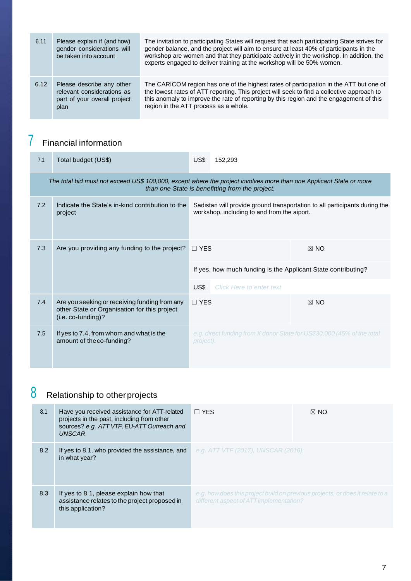| 6.11 | Please explain if (and how)<br>gender considerations will<br>be taken into account              | The invitation to participating States will request that each participating State strives for<br>gender balance, and the project will aim to ensure at least 40% of participants in the<br>workshop are women and that they participate actively in the workshop. In addition, the<br>experts engaged to deliver training at the workshop will be 50% women. |
|------|-------------------------------------------------------------------------------------------------|--------------------------------------------------------------------------------------------------------------------------------------------------------------------------------------------------------------------------------------------------------------------------------------------------------------------------------------------------------------|
| 6.12 | Please describe any other<br>relevant considerations as<br>part of your overall project<br>plan | The CARICOM region has one of the highest rates of participation in the ATT but one of<br>the lowest rates of ATT reporting. This project will seek to find a collective approach to<br>this anomaly to improve the rate of reporting by this region and the engagement of this<br>region in the ATT process as a whole.                                     |

## 7 Financial information

| 7.1 | Total budget (US\$)                                                                                                 | US\$       | 152.293                                                       |                                                                            |
|-----|---------------------------------------------------------------------------------------------------------------------|------------|---------------------------------------------------------------|----------------------------------------------------------------------------|
|     | The total bid must not exceed US\$ 100,000, except where the project involves more than one Applicant State or more |            | than one State is benefitting from the project.               |                                                                            |
| 7.2 | Indicate the State's in-kind contribution to the<br>project                                                         |            | workshop, including to and from the aiport.                   | Sadistan will provide ground transportation to all participants during the |
| 7.3 | Are you providing any funding to the project?                                                                       |            | $\Box$ YES                                                    | $\boxtimes$ NO                                                             |
|     |                                                                                                                     |            | If yes, how much funding is the Applicant State contributing? |                                                                            |
|     |                                                                                                                     | US\$       | <b>Click Here to enter text</b>                               |                                                                            |
| 7.4 | Are you seeking or receiving funding from any<br>other State or Organisation for this project<br>(i.e. co-funding)? | $\Box$ YES |                                                               | $\boxtimes$ NO                                                             |
| 7.5 | If yes to 7.4, from whom and what is the<br>amount of the co-funding?                                               | project).  |                                                               | e.g. direct funding from X donor State for US\$30,000 (45% of the total    |

## 8 Relationship to otherprojects

| 8.1 | Have you received assistance for ATT-related<br>projects in the past, including from other<br>sources? e.g. ATT VTF, EU-ATT Outreach and<br><b>UNSCAR</b> | $\Box$ YES                                                                                                                 | $\boxtimes$ NO |
|-----|-----------------------------------------------------------------------------------------------------------------------------------------------------------|----------------------------------------------------------------------------------------------------------------------------|----------------|
| 8.2 | If yes to 8.1, who provided the assistance, and<br>in what year?                                                                                          | e.g. ATT VTF (2017), UNSCAR (2016).                                                                                        |                |
| 8.3 | If yes to 8.1, please explain how that<br>assistance relates to the project proposed in<br>this application?                                              | e.g. how does this project build on previous projects, or does it relate to a<br>different aspect of $ATT$ implementation? |                |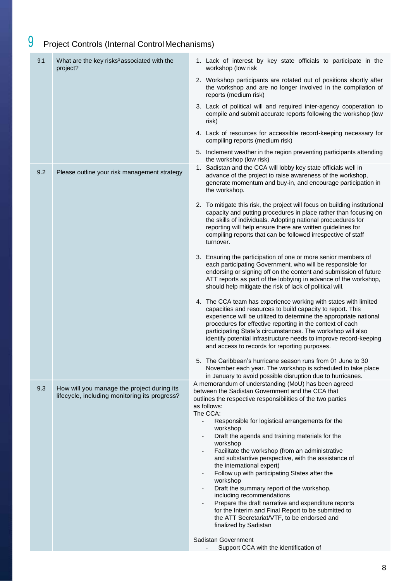## 9 Project Controls (Internal Control Mechanisms)

| 9.1 | What are the key risks <sup>3</sup> associated with the<br>project?                         | 1. Lack of interest by key state officials to participate in the<br>workshop (low risk                                                                                                                                                                                                                                                                                                                                                                                                                                                                                                                                                                                                                                                                                                                                          |
|-----|---------------------------------------------------------------------------------------------|---------------------------------------------------------------------------------------------------------------------------------------------------------------------------------------------------------------------------------------------------------------------------------------------------------------------------------------------------------------------------------------------------------------------------------------------------------------------------------------------------------------------------------------------------------------------------------------------------------------------------------------------------------------------------------------------------------------------------------------------------------------------------------------------------------------------------------|
|     |                                                                                             | 2. Workshop participants are rotated out of positions shortly after<br>the workshop and are no longer involved in the compilation of<br>reports (medium risk)                                                                                                                                                                                                                                                                                                                                                                                                                                                                                                                                                                                                                                                                   |
|     |                                                                                             | 3. Lack of political will and required inter-agency cooperation to<br>compile and submit accurate reports following the workshop (low<br>risk)                                                                                                                                                                                                                                                                                                                                                                                                                                                                                                                                                                                                                                                                                  |
|     |                                                                                             | 4. Lack of resources for accessible record-keeping necessary for<br>compiling reports (medium risk)                                                                                                                                                                                                                                                                                                                                                                                                                                                                                                                                                                                                                                                                                                                             |
|     |                                                                                             | 5. Inclement weather in the region preventing participants attending<br>the workshop (low risk)                                                                                                                                                                                                                                                                                                                                                                                                                                                                                                                                                                                                                                                                                                                                 |
| 9.2 | Please outline your risk management strategy                                                | 1. Sadistan and the CCA will lobby key state officials well in<br>advance of the project to raise awareness of the workshop,<br>generate momentum and buy-in, and encourage participation in<br>the workshop.                                                                                                                                                                                                                                                                                                                                                                                                                                                                                                                                                                                                                   |
|     |                                                                                             | 2. To mitigate this risk, the project will focus on building institutional<br>capacity and putting procedures in place rather than focusing on<br>the skills of individuals. Adopting national procuedures for<br>reporting will help ensure there are written guidelines for<br>compiling reports that can be followed irrespective of staff<br>turnover.                                                                                                                                                                                                                                                                                                                                                                                                                                                                      |
|     |                                                                                             | 3. Ensuring the participation of one or more senior members of<br>each participating Government, who will be responsible for<br>endorsing or signing off on the content and submission of future<br>ATT reports as part of the lobbying in advance of the workshop,<br>should help mitigate the risk of lack of political will.                                                                                                                                                                                                                                                                                                                                                                                                                                                                                                 |
|     |                                                                                             | 4. The CCA team has experience working with states with limited<br>capacities and resources to build capacity to report. This<br>experience will be utilized to determine the appropriate national<br>procedures for effective reporting in the context of each<br>participating State's circumstances. The workshop will also<br>identify potential infrastructure needs to improve record-keeping<br>and access to records for reporting purposes.                                                                                                                                                                                                                                                                                                                                                                            |
|     |                                                                                             | 5. The Caribbean's hurricane season runs from 01 June to 30<br>November each year. The workshop is scheduled to take place<br>in January to avoid possible disruption due to hurricanes.                                                                                                                                                                                                                                                                                                                                                                                                                                                                                                                                                                                                                                        |
| 9.3 | How will you manage the project during its<br>lifecycle, including monitoring its progress? | A memorandum of understanding (MoU) has been agreed<br>between the Sadistan Government and the CCA that<br>outlines the respective responsibilities of the two parties<br>as follows:<br>The CCA:<br>Responsible for logistical arrangements for the<br>$\overline{\phantom{a}}$<br>workshop<br>Draft the agenda and training materials for the<br>workshop<br>Facilitate the workshop (from an administrative<br>and substantive perspective, with the assistance of<br>the international expert)<br>Follow up with participating States after the<br>workshop<br>Draft the summary report of the workshop,<br>including recommendations<br>Prepare the draft narrative and expenditure reports<br>for the Interim and Final Report to be submitted to<br>the ATT Secretariat/VTF, to be endorsed and<br>finalized by Sadistan |
|     |                                                                                             | Sadistan Government<br>Support CCA with the identification of                                                                                                                                                                                                                                                                                                                                                                                                                                                                                                                                                                                                                                                                                                                                                                   |